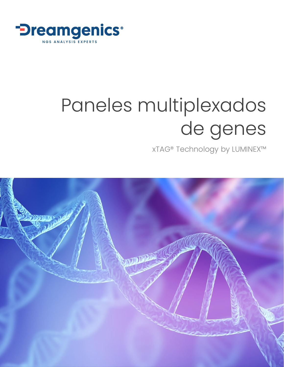

## Paneles multiplexados de genes

xTAG® Technology by LUMINEX™